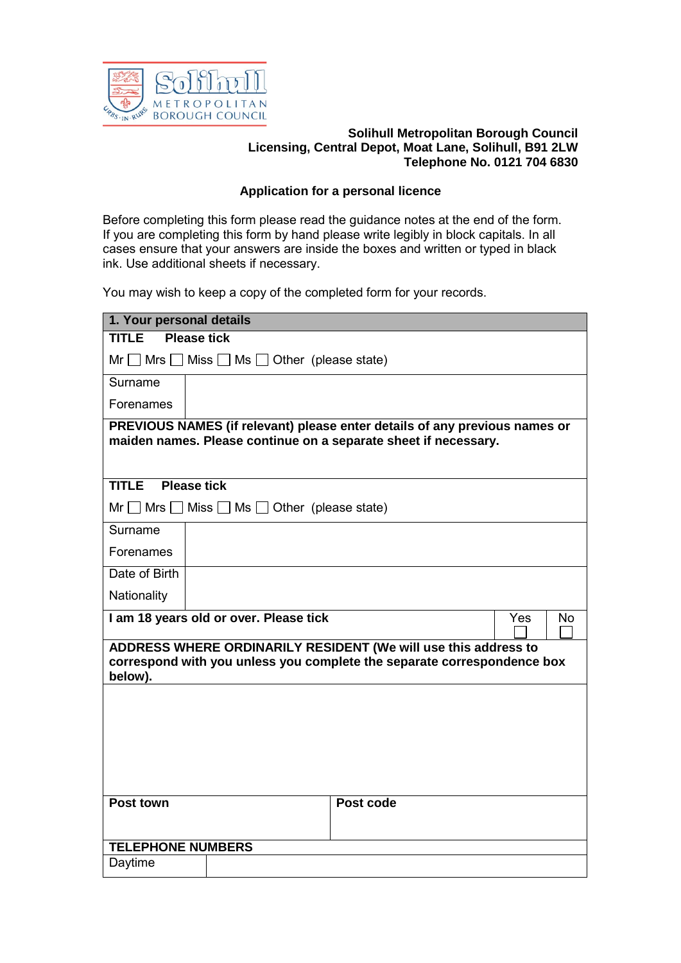

## **Solihull Metropolitan Borough Council Licensing, Central Depot, Moat Lane, Solihull, B91 2LW Telephone No. 0121 704 6830**

# **Application for a personal licence**

Before completing this form please read the guidance notes at the end of the form. If you are completing this form by hand please write legibly in block capitals. In all cases ensure that your answers are inside the boxes and written or typed in black ink. Use additional sheets if necessary.

You may wish to keep a copy of the completed form for your records.

| 1. Your personal details                                                                                                                                                       |                                                        |  |  |
|--------------------------------------------------------------------------------------------------------------------------------------------------------------------------------|--------------------------------------------------------|--|--|
| <b>TITLE</b><br><b>Please tick</b>                                                                                                                                             |                                                        |  |  |
|                                                                                                                                                                                | $Mr \tImes$ Miss $\Box$ Ms $\Box$ Other (please state) |  |  |
| Surname                                                                                                                                                                        |                                                        |  |  |
| Forenames                                                                                                                                                                      |                                                        |  |  |
| PREVIOUS NAMES (if relevant) please enter details of any previous names or<br>maiden names. Please continue on a separate sheet if necessary.                                  |                                                        |  |  |
| <b>TITLE</b> Please tick                                                                                                                                                       |                                                        |  |  |
|                                                                                                                                                                                | $Mr \tMrs \tMiss \tMs \tMs$ Other (please state)       |  |  |
| Surname                                                                                                                                                                        |                                                        |  |  |
| Forenames                                                                                                                                                                      |                                                        |  |  |
| Date of Birth                                                                                                                                                                  |                                                        |  |  |
| Nationality                                                                                                                                                                    |                                                        |  |  |
| I am 18 years old or over. Please tick<br>Yes<br>No                                                                                                                            |                                                        |  |  |
| ADDRESS WHERE ORDINARILY RESIDENT (We will use this address to<br>correspond with you unless you complete the separate correspondence box<br>below).<br>Post town<br>Post code |                                                        |  |  |
|                                                                                                                                                                                |                                                        |  |  |
| <b>TELEPHONE NUMBERS</b>                                                                                                                                                       |                                                        |  |  |
| Daytime                                                                                                                                                                        |                                                        |  |  |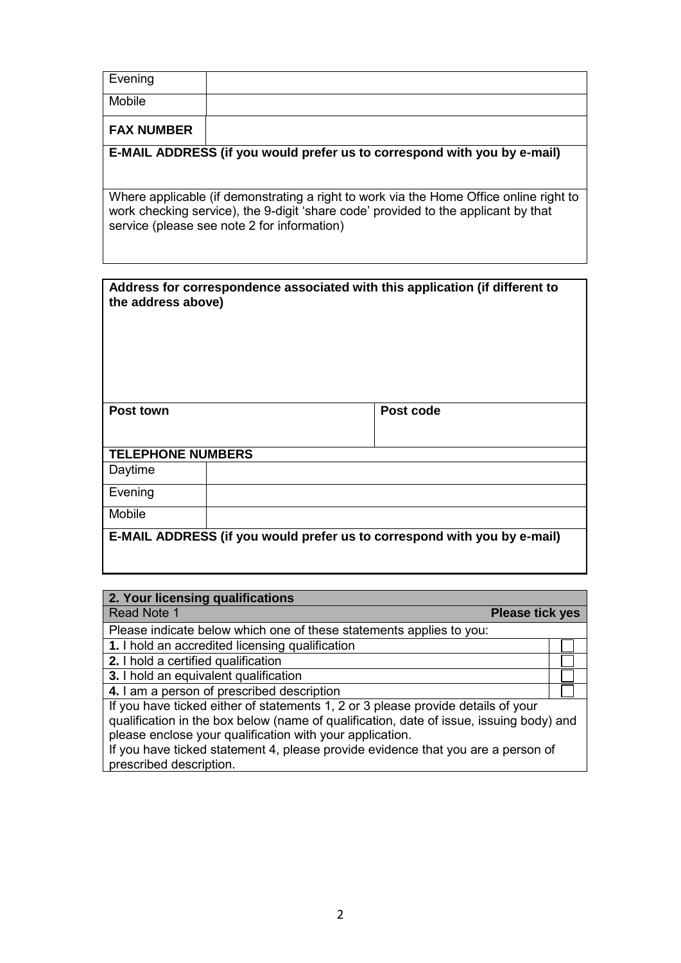| Evening           |  |
|-------------------|--|
| Mobile            |  |
| <b>FAX NUMBER</b> |  |

**E-MAIL ADDRESS (if you would prefer us to correspond with you by e-mail)**

Where applicable (if demonstrating a right to work via the Home Office online right to work checking service), the 9-digit 'share code' provided to the applicant by that service (please see note 2 for information)

|                                                                          | Address for correspondence associated with this application (if different to |           |  |
|--------------------------------------------------------------------------|------------------------------------------------------------------------------|-----------|--|
| the address above)                                                       |                                                                              |           |  |
|                                                                          |                                                                              |           |  |
|                                                                          |                                                                              |           |  |
|                                                                          |                                                                              |           |  |
|                                                                          |                                                                              |           |  |
|                                                                          |                                                                              |           |  |
|                                                                          |                                                                              |           |  |
|                                                                          |                                                                              |           |  |
|                                                                          |                                                                              |           |  |
| Post town                                                                |                                                                              | Post code |  |
|                                                                          |                                                                              |           |  |
|                                                                          |                                                                              |           |  |
| <b>TELEPHONE NUMBERS</b>                                                 |                                                                              |           |  |
|                                                                          |                                                                              |           |  |
| Daytime                                                                  |                                                                              |           |  |
| Evening                                                                  |                                                                              |           |  |
|                                                                          |                                                                              |           |  |
| <b>Mobile</b>                                                            |                                                                              |           |  |
|                                                                          |                                                                              |           |  |
| E-MAIL ADDRESS (if you would prefer us to correspond with you by e-mail) |                                                                              |           |  |
|                                                                          |                                                                              |           |  |
|                                                                          |                                                                              |           |  |

| 2. Your licensing qualifications                                                                                                                                            |  |  |
|-----------------------------------------------------------------------------------------------------------------------------------------------------------------------------|--|--|
| Read Note 1<br><b>Please tick yes</b>                                                                                                                                       |  |  |
| Please indicate below which one of these statements applies to you:                                                                                                         |  |  |
| 1. I hold an accredited licensing qualification                                                                                                                             |  |  |
| 2. I hold a certified qualification                                                                                                                                         |  |  |
| 3. I hold an equivalent qualification                                                                                                                                       |  |  |
| 4. I am a person of prescribed description                                                                                                                                  |  |  |
| If you have ticked either of statements 1, 2 or 3 please provide details of your<br>qualification in the box below (name of qualification, date of issue, issuing body) and |  |  |

please enclose your qualification with your application. If you have ticked statement 4, please provide evidence that you are a person of

prescribed description.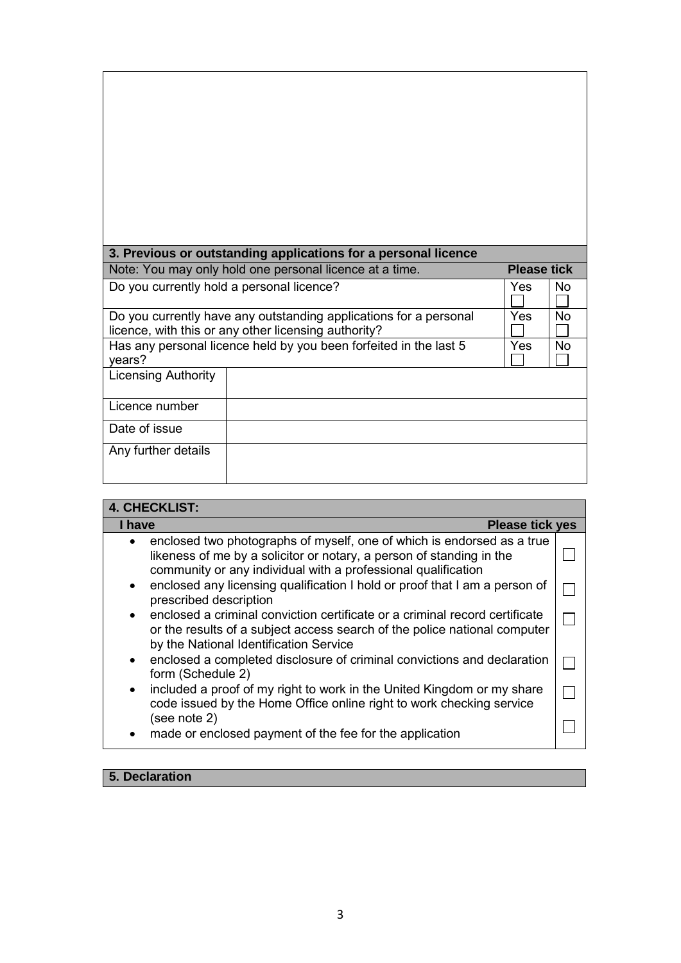|                                                                                                                           | 3. Previous or outstanding applications for a personal licence    |                    |     |  |
|---------------------------------------------------------------------------------------------------------------------------|-------------------------------------------------------------------|--------------------|-----|--|
|                                                                                                                           | Note: You may only hold one personal licence at a time.           | <b>Please tick</b> |     |  |
| Do you currently hold a personal licence?                                                                                 |                                                                   | Yes                | No. |  |
| Do you currently have any outstanding applications for a personal<br>licence, with this or any other licensing authority? |                                                                   | Yes                | No  |  |
| years?                                                                                                                    | Has any personal licence held by you been forfeited in the last 5 | Yes                | No  |  |
| <b>Licensing Authority</b>                                                                                                |                                                                   |                    |     |  |
| Licence number                                                                                                            |                                                                   |                    |     |  |
| Date of issue                                                                                                             |                                                                   |                    |     |  |
| Any further details                                                                                                       |                                                                   |                    |     |  |

# **4. CHECKLIST:**

| I have    | <b>Please tick yes</b>                                                                                                                                                                                          |  |
|-----------|-----------------------------------------------------------------------------------------------------------------------------------------------------------------------------------------------------------------|--|
| $\bullet$ | enclosed two photographs of myself, one of which is endorsed as a true<br>likeness of me by a solicitor or notary, a person of standing in the<br>community or any individual with a professional qualification |  |
| $\bullet$ | enclosed any licensing qualification I hold or proof that I am a person of<br>prescribed description                                                                                                            |  |
| $\bullet$ | enclosed a criminal conviction certificate or a criminal record certificate<br>or the results of a subject access search of the police national computer<br>by the National Identification Service              |  |
| $\bullet$ | enclosed a completed disclosure of criminal convictions and declaration<br>form (Schedule 2)                                                                                                                    |  |
| $\bullet$ | included a proof of my right to work in the United Kingdom or my share<br>code issued by the Home Office online right to work checking service<br>(see note 2)                                                  |  |
|           | made or enclosed payment of the fee for the application                                                                                                                                                         |  |

# **5. Declaration**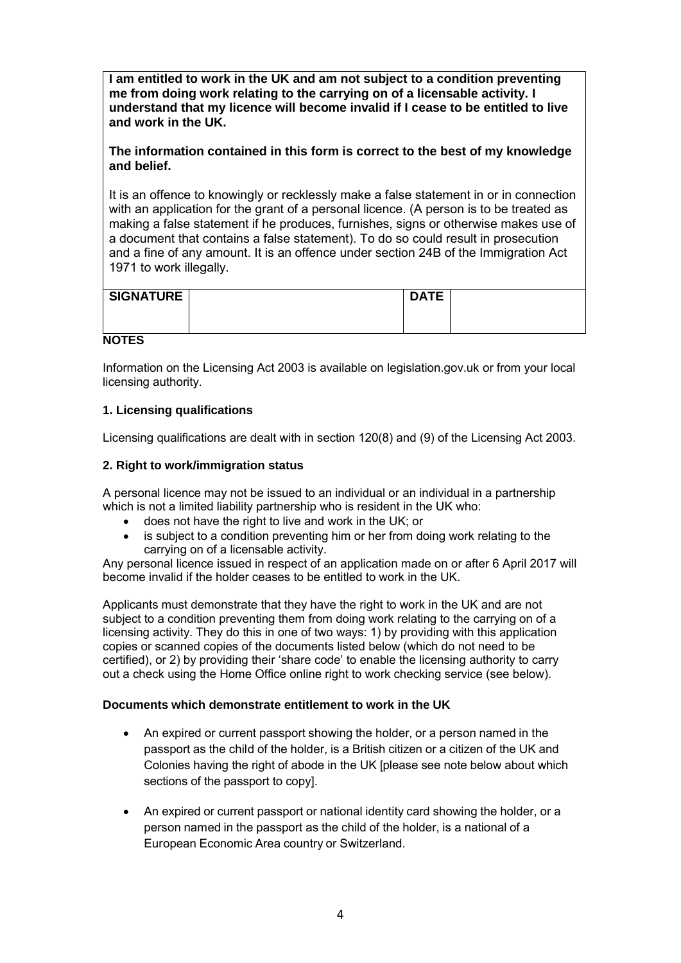**I am entitled to work in the UK and am not subject to a condition preventing me from doing work relating to the carrying on of a licensable activity. I understand that my licence will become invalid if I cease to be entitled to live and work in the UK.**

**The information contained in this form is correct to the best of my knowledge and belief.**

It is an offence to knowingly or recklessly make a false statement in or in connection with an application for the grant of a personal licence. (A person is to be treated as making a false statement if he produces, furnishes, signs or otherwise makes use of a document that contains a false statement). To do so could result in prosecution and a fine of any amount. It is an offence under section 24B of the Immigration Act 1971 to work illegally.

| <b>SIGNATURE</b> | <b>DATE</b> |  |
|------------------|-------------|--|
|                  |             |  |
| <b>NIATEC</b>    |             |  |

## **NOTES**

Information on the Licensing Act 2003 is available on legislation.gov.uk or from your local licensing authority.

### **1. Licensing qualifications**

Licensing qualifications are dealt with in section 120(8) and (9) of the Licensing Act 2003.

### **2. Right to work/immigration status**

A personal licence may not be issued to an individual or an individual in a partnership which is not a limited liability partnership who is resident in the UK who:

- does not have the right to live and work in the UK; or
- is subject to a condition preventing him or her from doing work relating to the carrying on of a licensable activity.

Any personal licence issued in respect of an application made on or after 6 April 2017 will become invalid if the holder ceases to be entitled to work in the UK.

Applicants must demonstrate that they have the right to work in the UK and are not subject to a condition preventing them from doing work relating to the carrying on of a licensing activity. They do this in one of two ways: 1) by providing with this application copies or scanned copies of the documents listed below (which do not need to be certified), or 2) by providing their 'share code' to enable the licensing authority to carry out a check using the Home Office online right to work checking service (see below).

#### **Documents which demonstrate entitlement to work in the UK**

- An expired or current passport showing the holder, or a person named in the passport as the child of the holder, is a British citizen or a citizen of the UK and Colonies having the right of abode in the UK [please see note below about which sections of the passport to copy].
- An expired or current passport or national identity card showing the holder, or a person named in the passport as the child of the holder, is a national of a European Economic Area country or Switzerland.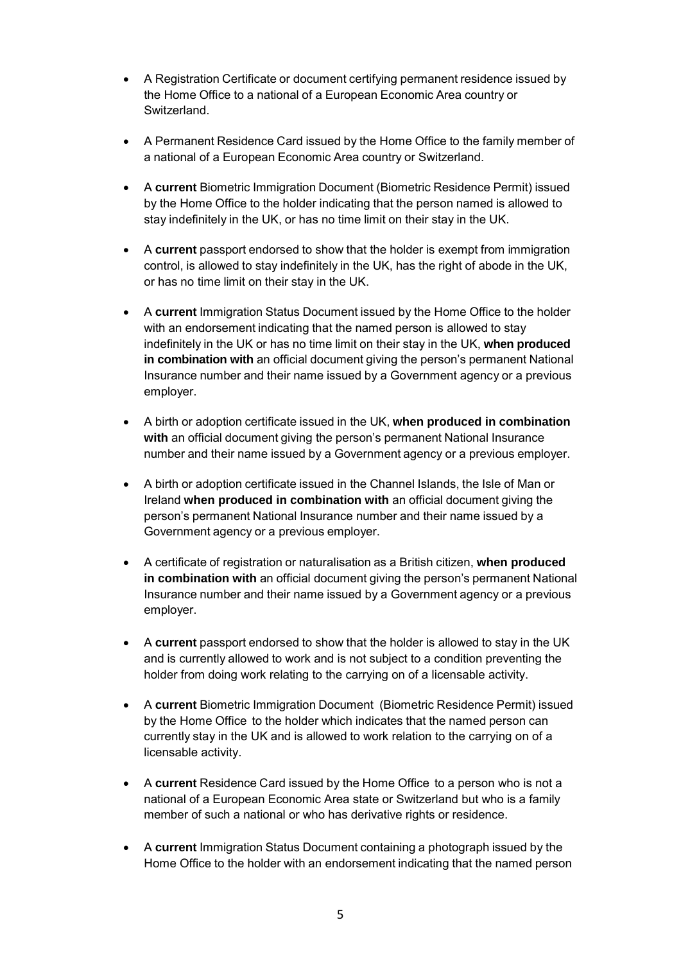- A Registration Certificate or document certifying permanent residence issued by the Home Office to a national of a European Economic Area country or Switzerland.
- A Permanent Residence Card issued by the Home Office to the family member of a national of a European Economic Area country or Switzerland.
- A **current** Biometric Immigration Document (Biometric Residence Permit) issued by the Home Office to the holder indicating that the person named is allowed to stay indefinitely in the UK, or has no time limit on their stay in the UK.
- A **current** passport endorsed to show that the holder is exempt from immigration control, is allowed to stay indefinitely in the UK, has the right of abode in the UK, or has no time limit on their stay in the UK.
- A **current** Immigration Status Document issued by the Home Office to the holder with an endorsement indicating that the named person is allowed to stay indefinitely in the UK or has no time limit on their stay in the UK, **when produced in combination with** an official document giving the person's permanent National Insurance number and their name issued by a Government agency or a previous employer.
- A birth or adoption certificate issued in the UK, **when produced in combination with** an official document giving the person's permanent National Insurance number and their name issued by a Government agency or a previous employer.
- A birth or adoption certificate issued in the Channel Islands, the Isle of Man or Ireland **when produced in combination with** an official document giving the person's permanent National Insurance number and their name issued by a Government agency or a previous employer.
- A certificate of registration or naturalisation as a British citizen, **when produced in combination with** an official document giving the person's permanent National Insurance number and their name issued by a Government agency or a previous employer.
- A **current** passport endorsed to show that the holder is allowed to stay in the UK and is currently allowed to work and is not subject to a condition preventing the holder from doing work relating to the carrying on of a licensable activity.
- A **current** Biometric Immigration Document (Biometric Residence Permit) issued by the Home Office to the holder which indicates that the named person can currently stay in the UK and is allowed to work relation to the carrying on of a licensable activity.
- A **current** Residence Card issued by the Home Office to a person who is not a national of a European Economic Area state or Switzerland but who is a family member of such a national or who has derivative rights or residence.
- A **current** Immigration Status Document containing a photograph issued by the Home Office to the holder with an endorsement indicating that the named person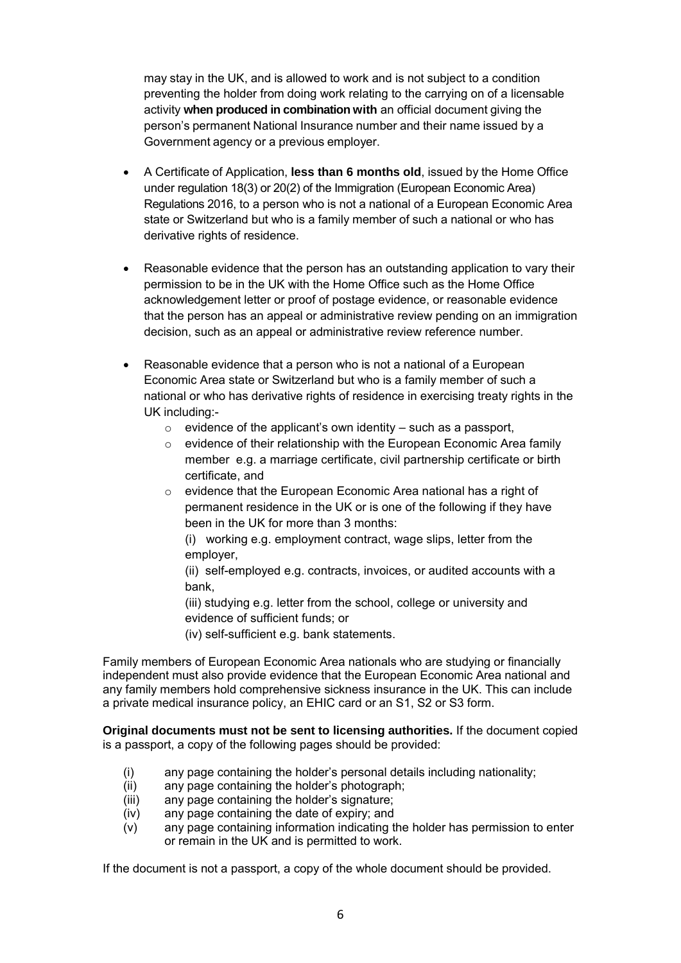may stay in the UK, and is allowed to work and is not subject to a condition preventing the holder from doing work relating to the carrying on of a licensable activity **when produced in combination with** an official document giving the person's permanent National Insurance number and their name issued by a Government agency or a previous employer.

- A Certificate of Application, **less than 6 months old**, issued by the Home Office under regulation 18(3) or 20(2) of the Immigration (European Economic Area) Regulations 2016, to a person who is not a national of a European Economic Area state or Switzerland but who is a family member of such a national or who has derivative rights of residence.
- Reasonable evidence that the person has an outstanding application to vary their permission to be in the UK with the Home Office such as the Home Office acknowledgement letter or proof of postage evidence, or reasonable evidence that the person has an appeal or administrative review pending on an immigration decision, such as an appeal or administrative review reference number.
- Reasonable evidence that a person who is not a national of a European Economic Area state or Switzerland but who is a family member of such a national or who has derivative rights of residence in exercising treaty rights in the UK including:-
	- $\circ$  evidence of the applicant's own identity such as a passport,
	- o evidence of their relationship with the European Economic Area family member e.g. a marriage certificate, civil partnership certificate or birth certificate, and
	- o evidence that the European Economic Area national has a right of permanent residence in the UK or is one of the following if they have been in the UK for more than 3 months:

(i) working e.g. employment contract, wage slips, letter from the employer,

(ii) self-employed e.g. contracts, invoices, or audited accounts with a bank,

(iii) studying e.g. letter from the school, college or university and evidence of sufficient funds; or

(iv) self-sufficient e.g. bank statements.

Family members of European Economic Area nationals who are studying or financially independent must also provide evidence that the European Economic Area national and any family members hold comprehensive sickness insurance in the UK. This can include a private medical insurance policy, an EHIC card or an S1, S2 or S3 form.

**Original documents must not be sent to licensing authorities.** If the document copied is a passport, a copy of the following pages should be provided:

- (i) any page containing the holder's personal details including nationality;
- (ii) any page containing the holder's photograph;
- (iii) any page containing the holder's signature;
- (iv) any page containing the date of expiry; and
- (v) any page containing information indicating the holder has permission to enter or remain in the UK and is permitted to work.

If the document is not a passport, a copy of the whole document should be provided.